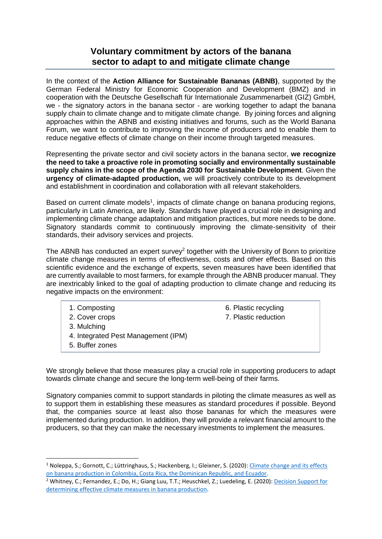## **Voluntary commitment by actors of the banana sector to adapt to and mitigate climate change**

In the context of the **Action Alliance for Sustainable Bananas (ABNB)**, supported by the German Federal Ministry for Economic Cooperation and Development (BMZ) and in cooperation with the Deutsche Gesellschaft für Internationale Zusammenarbeit (GIZ) GmbH, we - the signatory actors in the banana sector - are working together to adapt the banana supply chain to climate change and to mitigate climate change. By joining forces and aligning approaches within the ABNB and existing initiatives and forums, such as the World Banana Forum, we want to contribute to improving the income of producers and to enable them to reduce negative effects of climate change on their income through targeted measures.

Representing the private sector and civil society actors in the banana sector, **we recognize the need to take a proactive role in promoting socially and environmentally sustainable supply chains in the scope of the Agenda 2030 for Sustainable Development**. Given the **urgency of climate-adapted production,** we will proactively contribute to its development and establishment in coordination and collaboration with all relevant stakeholders.

Based on current climate models<sup>1</sup>, impacts of climate change on banana producing regions, particularly in Latin America, are likely. Standards have played a crucial role in designing and implementing climate change adaptation and mitigation practices, but more needs to be done. Signatory standards commit to continuously improving the climate-sensitivity of their standards, their advisory services and projects.

The ABNB has conducted an expert survey<sup>2</sup> together with the University of Bonn to prioritize climate change measures in terms of effectiveness, costs and other effects. Based on this scientific evidence and the exchange of experts, seven measures have been identified that are currently available to most farmers, for example through the ABNB producer manual. They are inextricably linked to the goal of adapting production to climate change and reducing its negative impacts on the environment:

1. Composting

2. Cover crops

3. Mulching

- 4. Integrated Pest Management (IPM)
- 5. Buffer zones

6. Plastic recycling 7. Plastic reduction

We strongly believe that those measures play a crucial role in supporting producers to adapt towards climate change and secure the long-term well-being of their farms.

Signatory companies commit to support standards in piloting the climate measures as well as to support them in establishing these measures as standard procedures if possible. Beyond that, the companies source at least also those bananas for which the measures were implemented during production. In addition, they will provide a relevant financial amount to the producers, so that they can make the necessary investments to implement the measures.

<sup>&</sup>lt;sup>1</sup> Noleppa, S.; Gornott, C.; Lüttringhaus, S.; Hackenberg, I.; Gleixner, S. (2020): Climate change and its effects [on banana production in Colombia, Costa Rica, the Dominican Republic, and Ecuador.](https://www.bananenbuendnis.org/wp-content/uploads/Climate-change-and-its-effects-on-banana-production_English.pdf)

<sup>2</sup> Whitney, C.; Fernandez, E.; Do, H.; Giang Luu, T.T.; Heuschkel, Z.; Luedeling, E. (2020)[: Decision Support for](https://www.bananenbuendnis.org/wp-content/uploads/Banana_adaptation_measures_report_UniBonn.pdf)  [determining effective climate measures in banana production.](https://www.bananenbuendnis.org/wp-content/uploads/Banana_adaptation_measures_report_UniBonn.pdf)